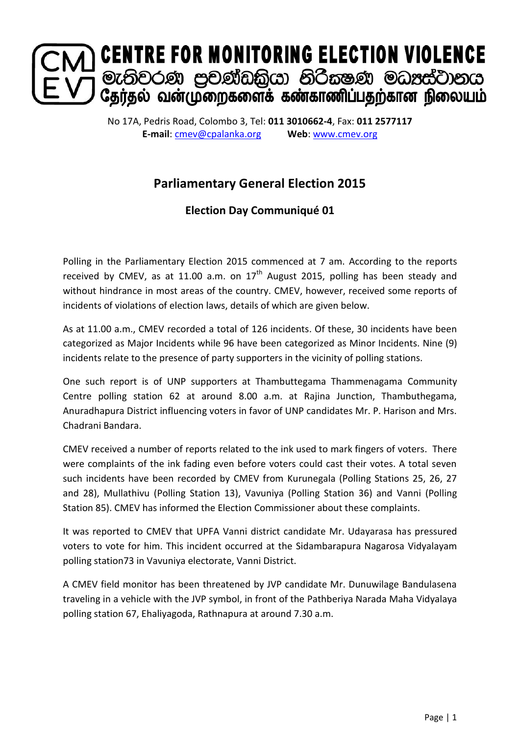

No 17A, Pedris Road, Colombo 3, Tel: **011 3010662-4**, Fax: **011 2577117 E-mail**: [cmev@cpalanka.org](mailto:cmev@cpalanka.org) **Web**: [www.cmev.org](http://www.cmev.org/)

## **Parliamentary General Election 2015**

## **Election Day Communiqué 01**

Polling in the Parliamentary Election 2015 commenced at 7 am. According to the reports received by CMEV, as at 11.00 a.m. on  $17<sup>th</sup>$  August 2015, polling has been steady and without hindrance in most areas of the country. CMEV, however, received some reports of incidents of violations of election laws, details of which are given below.

As at 11.00 a.m., CMEV recorded a total of 126 incidents. Of these, 30 incidents have been categorized as Major Incidents while 96 have been categorized as Minor Incidents. Nine (9) incidents relate to the presence of party supporters in the vicinity of polling stations.

One such report is of UNP supporters at Thambuttegama Thammenagama Community Centre polling station 62 at around 8.00 a.m. at Rajina Junction, Thambuthegama, Anuradhapura District influencing voters in favor of UNP candidates Mr. P. Harison and Mrs. Chadrani Bandara.

CMEV received a number of reports related to the ink used to mark fingers of voters. There were complaints of the ink fading even before voters could cast their votes. A total seven such incidents have been recorded by CMEV from Kurunegala (Polling Stations 25, 26, 27 and 28), Mullathivu (Polling Station 13), Vavuniya (Polling Station 36) and Vanni (Polling Station 85). CMEV has informed the Election Commissioner about these complaints.

It was reported to CMEV that UPFA Vanni district candidate Mr. Udayarasa has pressured voters to vote for him. This incident occurred at the Sidambarapura Nagarosa Vidyalayam polling station73 in Vavuniya electorate, Vanni District.

A CMEV field monitor has been threatened by JVP candidate Mr. Dunuwilage Bandulasena traveling in a vehicle with the JVP symbol, in front of the Pathberiya Narada Maha Vidyalaya polling station 67, Ehaliyagoda, Rathnapura at around 7.30 a.m.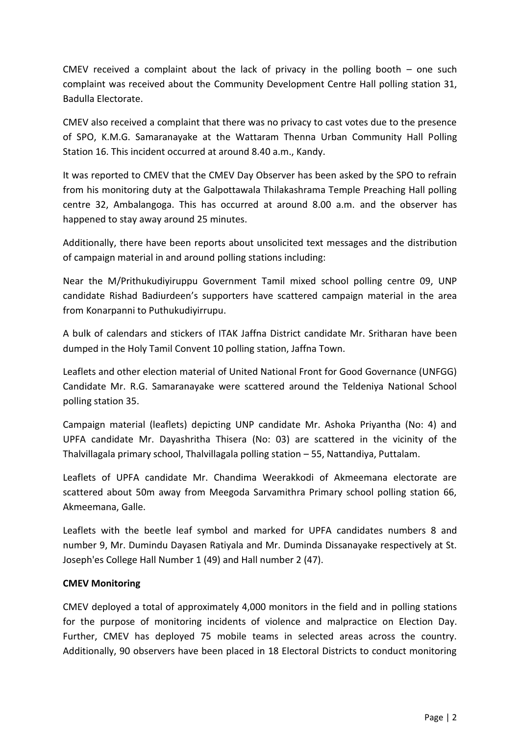CMEV received a complaint about the lack of privacy in the polling booth  $-$  one such complaint was received about the Community Development Centre Hall polling station 31, Badulla Electorate.

CMEV also received a complaint that there was no privacy to cast votes due to the presence of SPO, K.M.G. Samaranayake at the Wattaram Thenna Urban Community Hall Polling Station 16. This incident occurred at around 8.40 a.m., Kandy.

It was reported to CMEV that the CMEV Day Observer has been asked by the SPO to refrain from his monitoring duty at the Galpottawala Thilakashrama Temple Preaching Hall polling centre 32, Ambalangoga. This has occurred at around 8.00 a.m. and the observer has happened to stay away around 25 minutes.

Additionally, there have been reports about unsolicited text messages and the distribution of campaign material in and around polling stations including:

Near the M/Prithukudiyiruppu Government Tamil mixed school polling centre 09, UNP candidate Rishad Badiurdeen's supporters have scattered campaign material in the area from Konarpanni to Puthukudiyirrupu.

A bulk of calendars and stickers of ITAK Jaffna District candidate Mr. Sritharan have been dumped in the Holy Tamil Convent 10 polling station, Jaffna Town.

Leaflets and other election material of United National Front for Good Governance (UNFGG) Candidate Mr. R.G. Samaranayake were scattered around the Teldeniya National School polling station 35.

Campaign material (leaflets) depicting UNP candidate Mr. Ashoka Priyantha (No: 4) and UPFA candidate Mr. Dayashritha Thisera (No: 03) are scattered in the vicinity of the Thalvillagala primary school, Thalvillagala polling station – 55, Nattandiya, Puttalam.

Leaflets of UPFA candidate Mr. Chandima Weerakkodi of Akmeemana electorate are scattered about 50m away from Meegoda Sarvamithra Primary school polling station 66, Akmeemana, Galle.

Leaflets with the beetle leaf symbol and marked for UPFA candidates numbers 8 and number 9, Mr. Dumindu Dayasen Ratiyala and Mr. Duminda Dissanayake respectively at St. Joseph'es College Hall Number 1 (49) and Hall number 2 (47).

## **CMEV Monitoring**

CMEV deployed a total of approximately 4,000 monitors in the field and in polling stations for the purpose of monitoring incidents of violence and malpractice on Election Day. Further, CMEV has deployed 75 mobile teams in selected areas across the country. Additionally, 90 observers have been placed in 18 Electoral Districts to conduct monitoring